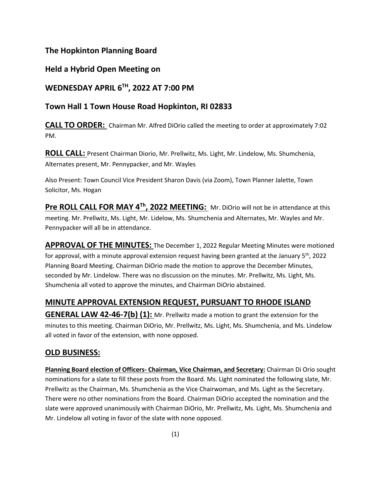# **The Hopkinton Planning Board**

# **Held a Hybrid Open Meeting on**

# **WEDNESDAY APRIL 6TH, 2022 AT 7:00 PM**

# **Town Hall 1 Town House Road Hopkinton, RI 02833**

**CALL TO ORDER:** Chairman Mr. Alfred DiOrio called the meeting to order at approximately 7:02 PM.

**ROLL CALL:** Present Chairman Diorio, Mr. Prellwitz, Ms. Light, Mr. Lindelow, Ms. Shumchenia, Alternates present, Mr. Pennypacker, and Mr. Wayles

Also Present: Town Council Vice President Sharon Davis (via Zoom), Town Planner Jalette, Town Solicitor, Ms. Hogan

**Pre ROLL CALL FOR MAY 4<sup>Th</sup>, 2022 MEETING:** Mr. DiOrio will not be in attendance at this meeting. Mr. Prellwitz, Ms. Light, Mr. Lidelow, Ms. Shumchenia and Alternates, Mr. Wayles and Mr. Pennypacker will all be in attendance.

**APPROVAL OF THE MINUTES:** The December 1, 2022 Regular Meeting Minutes were motioned for approval, with a minute approval extension request having been granted at the January 5<sup>th</sup>, 2022 Planning Board Meeting. Chairman DiOrio made the motion to approve the December Minutes, seconded by Mr. Lindelow. There was no discussion on the minutes. Mr. Prellwitz, Ms. Light, Ms. Shumchenia all voted to approve the minutes, and Chairman DiOrio abstained.

# **MINUTE APPROVAL EXTENSION REQUEST, PURSUANT TO RHODE ISLAND**

**GENERAL LAW 42-46-7(b) (1):** Mr. Prellwitz made a motion to grant the extension for the minutes to this meeting. Chairman DiOrio, Mr. Prellwitz, Ms. Light, Ms. Shumchenia, and Ms. Lindelow all voted in favor of the extension, with none opposed.

# **OLD BUSINESS:**

**Planning Board election of Officers- Chairman, Vice Chairman, and Secretary:** Chairman Di Orio sought nominations for a slate to fill these posts from the Board. Ms. Light nominated the following slate, Mr. Prellwitz as the Chairman, Ms. Shumchenia as the Vice Chairwoman, and Ms. Light as the Secretary. There were no other nominations from the Board. Chairman DiOrio accepted the nomination and the slate were approved unanimously with Chairman DiOrio, Mr. Prellwitz, Ms. Light, Ms. Shumchenia and Mr. Lindelow all voting in favor of the slate with none opposed.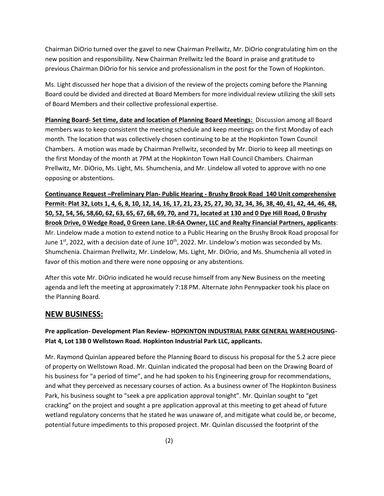Chairman DiOrio turned over the gavel to new Chairman Prellwitz, Mr. DiOrio congratulating him on the new position and responsibility. New Chairman Prellwitz led the Board in praise and gratitude to previous Chairman DiOrio for his service and professionalism in the post for the Town of Hopkinton.

Ms. Light discussed her hope that a division of the review of the projects coming before the Planning Board could be divided and directed at Board Members for more individual review utilizing the skill sets of Board Members and their collective professional expertise.

**Planning Board- Set time, date and location of Planning Board Meetings:** Discussion among all Board members was to keep consistent the meeting schedule and keep meetings on the first Monday of each month. The location that was collectively chosen continuing to be at the Hopkinton Town Council Chambers. A motion was made by Chairman Prellwitz, seconded by Mr. Diorio to keep all meetings on the first Monday of the month at 7PM at the Hopkinton Town Hall Council Chambers. Chairman Prellwitz, Mr. DiOrio, Ms. Light, Ms. Shumchenia, and Mr. Lindelow all voted to approve with no one opposing or abstentions.

**Continuance Request –Preliminary Plan- Public Hearing - Brushy Brook Road 140 Unit comprehensive Permit- Plat 32, Lots 1, 4, 6, 8, 10, 12, 14, 16, 17, 21, 23, 25, 27, 30, 32, 34, 36, 38, 40, 41, 42, 44, 46, 48, 50, 52, 54, 56, 58,60, 62, 63, 65, 67, 68, 69, 70, and 71, located at 130 and 0 Dye Hill Road, 0 Brushy Brook Drive, 0 Wedge Road, 0 Green Lane. LR-6A Owner, LLC and Realty Financial Partners, applicants**: Mr. Lindelow made a motion to extend notice to a Public Hearing on the Brushy Brook Road proposal for June  $1^{st}$ , 2022, with a decision date of June  $10^{th}$ , 2022. Mr. Lindelow's motion was seconded by Ms. Shumchenia. Chairman Prellwitz, Mr. Lindelow, Ms. Light, Mr. DiOrio, and Ms. Shumchenia all voted in favor of this motion and there were none opposing or any abstentions.

After this vote Mr. DiOrio indicated he would recuse himself from any New Business on the meeting agenda and left the meeting at approximately 7:18 PM. Alternate John Pennypacker took his place on the Planning Board.

### **NEW BUSINESS:**

#### **Pre application- Development Plan Review- HOPKINTON INDUSTRIAL PARK GENERAL WAREHOUSING-Plat 4, Lot 13B 0 Wellstown Road. Hopkinton Industrial Park LLC, applicants.**

Mr. Raymond Quinlan appeared before the Planning Board to discuss his proposal for the 5.2 acre piece of property on Wellstown Road. Mr. Quinlan indicated the proposal had been on the Drawing Board of his business for "a period of time", and he had spoken to his Engineering group for recommendations, and what they perceived as necessary courses of action. As a business owner of The Hopkinton Business Park, his business sought to "seek a pre application approval tonight". Mr. Quinlan sought to "get cracking" on the project and sought a pre application approval at this meeting to get ahead of future wetland regulatory concerns that he stated he was unaware of, and mitigate what could be, or become, potential future impediments to this proposed project. Mr. Quinlan discussed the footprint of the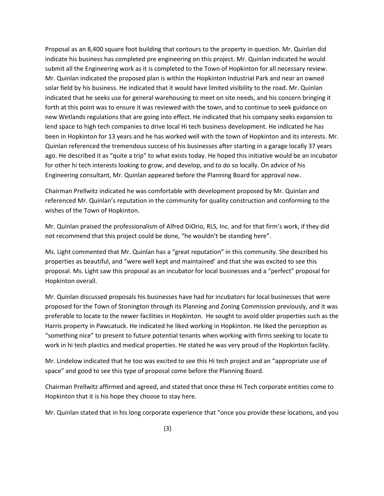Proposal as an 8,400 square foot building that contours to the property in question. Mr. Quinlan did indicate his business has completed pre engineering on this project. Mr. Quinlan indicated he would submit all the Engineering work as it is completed to the Town of Hopkinton for all necessary review. Mr. Quinlan indicated the proposed plan is within the Hopkinton Industrial Park and near an owned solar field by his business. He indicated that it would have limited visibility to the road. Mr. Quinlan indicated that he seeks use for general warehousing to meet on site needs, and his concern bringing it forth at this point was to ensure it was reviewed with the town, and to continue to seek guidance on new Wetlands regulations that are going into effect. He indicated that his company seeks expansion to lend space to high tech companies to drive local Hi tech business development. He indicated he has been in Hopkinton for 13 years and he has worked well with the town of Hopkinton and its interests. Mr. Quinlan referenced the tremendous success of his businesses after starting in a garage locally 37 years ago. He described it as "quite a trip" to what exists today. He hoped this initiative would be an incubator for other hi tech interests looking to grow, and develop, and to do so locally. On advice of his Engineering consultant, Mr. Quinlan appeared before the Planning Board for approval now.

Chairman Prellwitz indicated he was comfortable with development proposed by Mr. Quinlan and referenced Mr. Quinlan's reputation in the community for quality construction and conforming to the wishes of the Town of Hopkinton.

Mr. Quinlan praised the professionalism of Alfred DiOrio, RLS, Inc. and for that firm's work, if they did not recommend that this project could be done, "he wouldn't be standing here".

Ms. Light commented that Mr. Quinlan has a "great reputation" in this community. She described his properties as beautiful, and "were well kept and maintained' and that she was excited to see this proposal. Ms. Light saw this proposal as an incubator for local businesses and a "perfect" proposal for Hopkinton overall.

Mr. Quinlan discussed proposals his businesses have had for incubators for local businesses that were proposed for the Town of Stonington through its Planning and Zoning Commission previously, and it was preferable to locate to the newer facilities in Hopkinton. He sought to avoid older properties such as the Harris property in Pawcatuck. He indicated he liked working in Hopkinton. He liked the perception as "something nice" to present to future potential tenants when working with firms seeking to locate to work in hi tech plastics and medical properties. He stated he was very proud of the Hopkinton facility.

Mr. Lindelow indicated that he too was excited to see this Hi tech project and an "appropriate use of space" and good to see this type of proposal come before the Planning Board.

Chairman Prellwitz affirmed and agreed, and stated that once these Hi Tech corporate entities come to Hopkinton that it is his hope they choose to stay here.

Mr. Quinlan stated that in his long corporate experience that "once you provide these locations, and you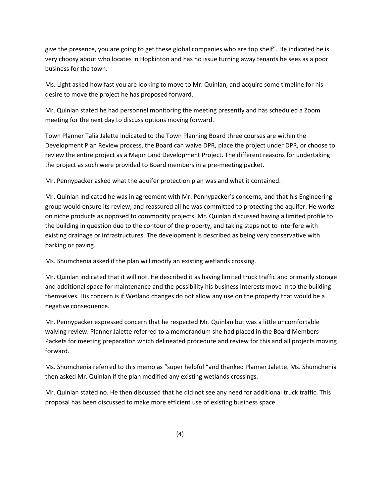give the presence, you are going to get these global companies who are top shelf". He indicated he is very choosy about who locates in Hopkinton and has no issue turning away tenants he sees as a poor business for the town.

Ms. Light asked how fast you are looking to move to Mr. Quinlan, and acquire some timeline for his desire to move the project he has proposed forward.

Mr. Quinlan stated he had personnel monitoring the meeting presently and has scheduled a Zoom meeting for the next day to discuss options moving forward.

Town Planner Talia Jalette indicated to the Town Planning Board three courses are within the Development Plan Review process, the Board can waive DPR, place the project under DPR, or choose to review the entire project as a Major Land Development Project. The different reasons for undertaking the project as such were provided to Board members in a pre-meeting packet.

Mr. Pennypacker asked what the aquifer protection plan was and what it contained.

Mr. Quinlan indicated he was in agreement with Mr. Pennypacker's concerns, and that his Engineering group would ensure its review, and reassured all he was committed to protecting the aquifer. He works on niche products as opposed to commodity projects. Mr. Quinlan discussed having a limited profile to the building in question due to the contour of the property, and taking steps not to interfere with existing drainage or infrastructures. The development is described as being very conservative with parking or paving.

Ms. Shumchenia asked if the plan will modify an existing wetlands crossing.

Mr. Quinlan indicated that it will not. He described it as having limited truck traffic and primarily storage and additional space for maintenance and the possibility his business interests move in to the building themselves. His concern is if Wetland changes do not allow any use on the property that would be a negative consequence.

Mr. Pennypacker expressed concern that he respected Mr. Quinlan but was a little uncomfortable waiving review. Planner Jalette referred to a memorandum she had placed in the Board Members Packets for meeting preparation which delineated procedure and review for this and all projects moving forward.

Ms. Shumchenia referred to this memo as "super helpful "and thanked Planner Jalette. Ms. Shumchenia then asked Mr. Quinlan if the plan modified any existing wetlands crossings.

Mr. Quinlan stated no. He then discussed that he did not see any need for additional truck traffic. This proposal has been discussed to make more efficient use of existing business space.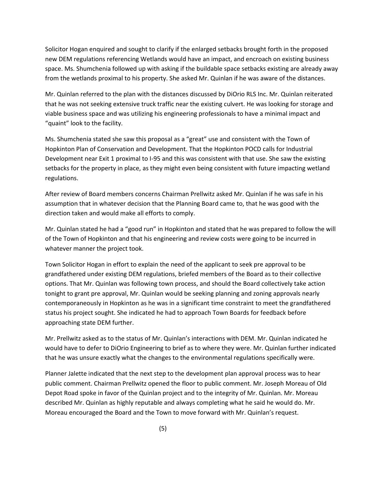Solicitor Hogan enquired and sought to clarify if the enlarged setbacks brought forth in the proposed new DEM regulations referencing Wetlands would have an impact, and encroach on existing business space. Ms. Shumchenia followed up with asking if the buildable space setbacks existing are already away from the wetlands proximal to his property. She asked Mr. Quinlan if he was aware of the distances.

Mr. Quinlan referred to the plan with the distances discussed by DiOrio RLS Inc. Mr. Quinlan reiterated that he was not seeking extensive truck traffic near the existing culvert. He was looking for storage and viable business space and was utilizing his engineering professionals to have a minimal impact and "quaint" look to the facility.

Ms. Shumchenia stated she saw this proposal as a "great" use and consistent with the Town of Hopkinton Plan of Conservation and Development. That the Hopkinton POCD calls for Industrial Development near Exit 1 proximal to I-95 and this was consistent with that use. She saw the existing setbacks for the property in place, as they might even being consistent with future impacting wetland regulations.

After review of Board members concerns Chairman Prellwitz asked Mr. Quinlan if he was safe in his assumption that in whatever decision that the Planning Board came to, that he was good with the direction taken and would make all efforts to comply.

Mr. Quinlan stated he had a "good run" in Hopkinton and stated that he was prepared to follow the will of the Town of Hopkinton and that his engineering and review costs were going to be incurred in whatever manner the project took.

Town Solicitor Hogan in effort to explain the need of the applicant to seek pre approval to be grandfathered under existing DEM regulations, briefed members of the Board as to their collective options. That Mr. Quinlan was following town process, and should the Board collectively take action tonight to grant pre approval, Mr. Quinlan would be seeking planning and zoning approvals nearly contemporaneously in Hopkinton as he was in a significant time constraint to meet the grandfathered status his project sought. She indicated he had to approach Town Boards for feedback before approaching state DEM further.

Mr. Prellwitz asked as to the status of Mr. Quinlan's interactions with DEM. Mr. Quinlan indicated he would have to defer to DiOrio Engineering to brief as to where they were. Mr. Quinlan further indicated that he was unsure exactly what the changes to the environmental regulations specifically were.

Planner Jalette indicated that the next step to the development plan approval process was to hear public comment. Chairman Prellwitz opened the floor to public comment. Mr. Joseph Moreau of Old Depot Road spoke in favor of the Quinlan project and to the integrity of Mr. Quinlan. Mr. Moreau described Mr. Quinlan as highly reputable and always completing what he said he would do. Mr. Moreau encouraged the Board and the Town to move forward with Mr. Quinlan's request.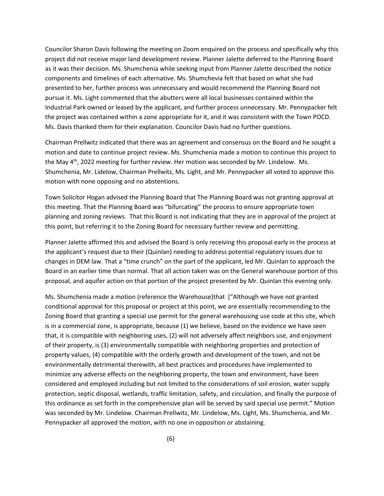Councilor Sharon Davis following the meeting on Zoom enquired on the process and specifically why this project did not receive major land development review. Planner Jalette deferred to the Planning Board as it was their decision. Ms. Shumchenia while seeking input from Planner Jalette described the notice components and timelines of each alternative. Ms. Shumchevia felt that based on what she had presented to her, further process was unnecessary and would recommend the Planning Board not pursue it. Ms. Light commented that the abutters were all local businesses contained within the Industrial Park owned or leased by the applicant, and further process unnecessary. Mr. Pennypacker felt the project was contained within a zone appropriate for it, and it was consistent with the Town POCD. Ms. Davis thanked them for their explanation. Councilor Davis had no further questions.

Chairman Prellwitz indicated that there was an agreement and consensus on the Board and he sought a motion and date to continue project review. Ms. Shumchenia made a motion to continue this project to the May  $4<sup>th</sup>$ , 2022 meeting for further review. Her motion was seconded by Mr. Lindelow. Ms. Shumchenia, Mr. Lidelow, Chairman Prellwitz, Ms. Light, and Mr. Pennypacker all voted to approve this motion with none opposing and no abstentions.

Town Solicitor Hogan advised the Planning Board that The Planning Board was not granting approval at this meeting. That the Planning Board was "bifurcating" the process to ensure appropriate town planning and zoning reviews. That this Board is not indicating that they are in approval of the project at this point, but referring it to the Zoning Board for necessary further review and permitting.

Planner Jalette affirmed this and advised the Board is only receiving this proposal early in the process at the applicant's request due to their (Quinlan) needing to address potential regulatory issues due to changes in DEM law. That a "time crunch" on the part of the applicant, led Mr. Quinlan to approach the Board in an earlier time than normal. That all action taken was on the General warehouse portion of this proposal, and aquifer action on that portion of the project presented by Mr. Quinlan this evening only.

Ms. Shumchenia made a motion (reference the Warehouse)that ["Although we have not granted conditional approval for this proposal or project at this point, we are essentially recommending to the Zoning Board that granting a special use permit for the general warehousing use code at this site, which is in a commercial zone, is appropriate, because (1) we believe, based on the evidence we have seen that, it is compatible with neighboring uses, (2) will not adversely affect neighbors use, and enjoyment of their property, is (3) environmentally compatible with neighboring properties and protection of property values, (4) compatible with the orderly growth and development of the town, and not be environmentally detrimental therewith, all best practices and procedures have implemented to minimize any adverse effects on the neighboring property, the town and environment, have been considered and employed including but not limited to the considerations of soil erosion, water supply protection, septic disposal, wetlands, traffic limitation, safety, and circulation, and finally the purpose of this ordinance as set forth in the comprehensive plan will be served by said special use permit." Motion was seconded by Mr. Lindelow. Chairman Prellwitz, Mr. Lindelow, Ms. Light, Ms. Shumchenia, and Mr. Pennypacker all approved the motion, with no one in opposition or abstaining.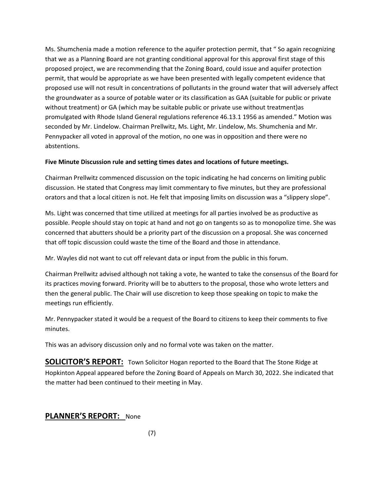Ms. Shumchenia made a motion reference to the aquifer protection permit, that " So again recognizing that we as a Planning Board are not granting conditional approval for this approval first stage of this proposed project, we are recommending that the Zoning Board, could issue and aquifer protection permit, that would be appropriate as we have been presented with legally competent evidence that proposed use will not result in concentrations of pollutants in the ground water that will adversely affect the groundwater as a source of potable water or its classification as GAA (suitable for public or private without treatment) or GA (which may be suitable public or private use without treatment)as promulgated with Rhode Island General regulations reference 46.13.1 1956 as amended." Motion was seconded by Mr. Lindelow. Chairman Prellwitz, Ms. Light, Mr. Lindelow, Ms. Shumchenia and Mr. Pennypacker all voted in approval of the motion, no one was in opposition and there were no abstentions.

#### **Five Minute Discussion rule and setting times dates and locations of future meetings.**

Chairman Prellwitz commenced discussion on the topic indicating he had concerns on limiting public discussion. He stated that Congress may limit commentary to five minutes, but they are professional orators and that a local citizen is not. He felt that imposing limits on discussion was a "slippery slope".

Ms. Light was concerned that time utilized at meetings for all parties involved be as productive as possible. People should stay on topic at hand and not go on tangents so as to monopolize time. She was concerned that abutters should be a priority part of the discussion on a proposal. She was concerned that off topic discussion could waste the time of the Board and those in attendance.

Mr. Wayles did not want to cut off relevant data or input from the public in this forum.

Chairman Prellwitz advised although not taking a vote, he wanted to take the consensus of the Board for its practices moving forward. Priority will be to abutters to the proposal, those who wrote letters and then the general public. The Chair will use discretion to keep those speaking on topic to make the meetings run efficiently.

Mr. Pennypacker stated it would be a request of the Board to citizens to keep their comments to five minutes.

This was an advisory discussion only and no formal vote was taken on the matter.

**SOLICITOR'S REPORT:** Town Solicitor Hogan reported to the Board that The Stone Ridge at Hopkinton Appeal appeared before the Zoning Board of Appeals on March 30, 2022. She indicated that the matter had been continued to their meeting in May.

#### **PLANNER'S REPORT:** None